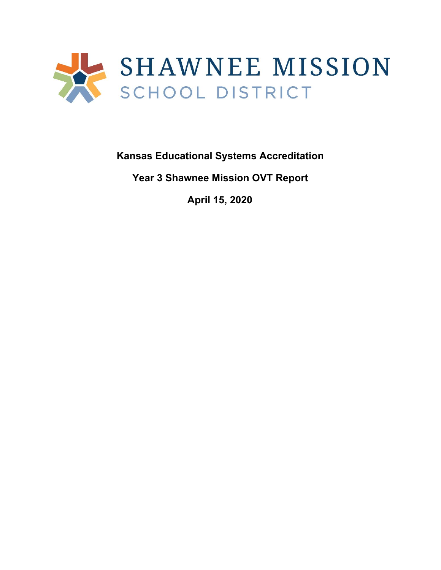

**Kansas Educational Systems Accreditation**

**Year 3 Shawnee Mission OVT Report**

**April 15, 2020**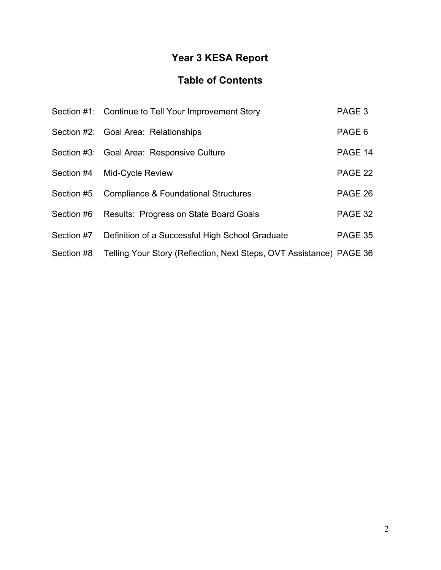# **Year 3 KESA Report**

# **Table of Contents**

|            | Section #1: Continue to Tell Your Improvement Story                 | PAGE <sub>3</sub> |
|------------|---------------------------------------------------------------------|-------------------|
|            | Section #2: Goal Area: Relationships                                | PAGE 6            |
|            | Section #3: Goal Area: Responsive Culture                           | PAGE 14           |
| Section #4 | Mid-Cycle Review                                                    | PAGE 22           |
| Section #5 | Compliance & Foundational Structures                                | PAGE 26           |
| Section #6 | <b>Results: Progress on State Board Goals</b>                       | PAGE 32           |
| Section #7 | Definition of a Successful High School Graduate                     | PAGE 35           |
| Section #8 | Telling Your Story (Reflection, Next Steps, OVT Assistance) PAGE 36 |                   |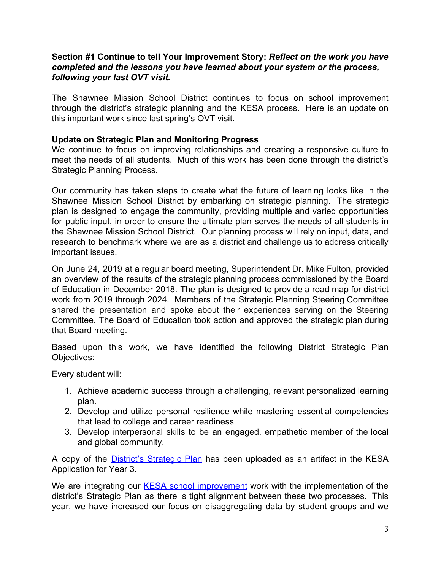#### **Section #1 Continue to tell Your Improvement Story:** *Reflect on the work you have completed and the lessons you have learned about your system or the process, following your last OVT visit.*

The Shawnee Mission School District continues to focus on school improvement through the district's strategic planning and the KESA process. Here is an update on this important work since last spring's OVT visit.

## **Update on Strategic Plan and Monitoring Progress**

We continue to focus on improving relationships and creating a responsive culture to meet the needs of all students. Much of this work has been done through the district's Strategic Planning Process.

Our community has taken steps to create what the future of learning looks like in the Shawnee Mission School District by embarking on strategic planning. The strategic plan is designed to engage the community, providing multiple and varied opportunities for public input, in order to ensure the ultimate plan serves the needs of all students in the Shawnee Mission School District. Our planning process will rely on input, data, and research to benchmark where we are as a district and challenge us to address critically important issues.

On June 24, 2019 at a regular board meeting, Superintendent Dr. Mike Fulton, provided an overview of the results of the strategic planning process commissioned by the Board of Education in December 2018. The plan is designed to provide a road map for district work from 2019 through 2024. Members of the Strategic Planning Steering Committee shared the presentation and spoke about their experiences serving on the Steering Committee. The Board of Education took action and approved the strategic plan during that Board meeting.

Based upon this work, we have identified the following District Strategic Plan Objectives:

Every student will:

- 1. Achieve academic success through a challenging, relevant personalized learning plan.
- 2. Develop and utilize personal resilience while mastering essential competencies that lead to college and career readiness
- 3. Develop interpersonal skills to be an engaged, empathetic member of the local and global community.

A copy of the District's [Strategic](https://drive.google.com/file/d/1fysIVs4WEZzX4brNgkHyn4yFSiIeltk1/view?usp=sharing) Plan has been uploaded as an artifact in the KESA Application for Year 3.

We are integrating our **KESA school [improvement](https://drive.google.com/file/d/17pbXlu6rjq--nlHNzTRCMd2jLWihQk4M/view?usp=sharing)** work with the implementation of the district's Strategic Plan as there is tight alignment between these two processes. This year, we have increased our focus on disaggregating data by student groups and we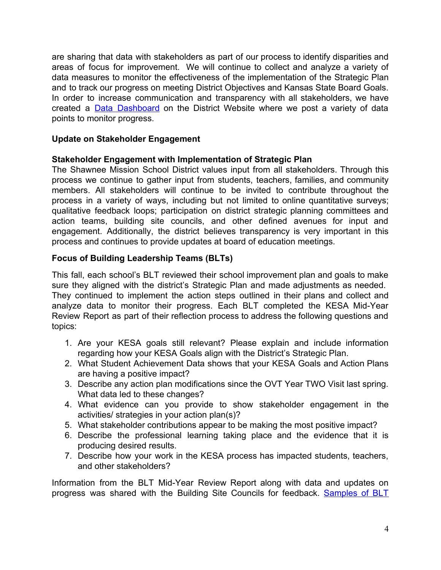are sharing that data with stakeholders as part of our process to identify disparities and areas of focus for improvement. We will continue to collect and analyze a variety of data measures to monitor the effectiveness of the implementation of the Strategic Plan and to track our progress on meeting District Objectives and Kansas State Board Goals. In order to increase communication and transparency with all stakeholders, we have created a Data [Dashboard](https://www.smsd.org/academics/curriculum-instruction/interactive-dashboard) on the District Website where we post a variety of data points to monitor progress.

# **Update on Stakeholder Engagement**

## **Stakeholder Engagement with Implementation of Strategic Plan**

The Shawnee Mission School District values input from all stakeholders. Through this process we continue to gather input from students, teachers, families, and community members. All stakeholders will continue to be invited to contribute throughout the process in a variety of ways, including but not limited to online quantitative surveys; qualitative feedback loops; participation on district strategic planning committees and action teams, building site councils, and other defined avenues for input and engagement. Additionally, the district believes transparency is very important in this process and continues to provide updates at board of education meetings.

# **Focus of Building Leadership Teams (BLTs)**

This fall, each school's BLT reviewed their school improvement plan and goals to make sure they aligned with the district's Strategic Plan and made adjustments as needed. They continued to implement the action steps outlined in their plans and collect and analyze data to monitor their progress. Each BLT completed the KESA Mid-Year Review Report as part of their reflection process to address the following questions and topics:

- 1. Are your KESA goals still relevant? Please explain and include information regarding how your KESA Goals align with the District's Strategic Plan.
- 2. What Student Achievement Data shows that your KESA Goals and Action Plans are having a positive impact?
- 3. Describe any action plan modifications since the OVT Year TWO Visit last spring. What data led to these changes?
- 4. What evidence can you provide to show stakeholder engagement in the activities/ strategies in your action plan(s)?
- 5. What stakeholder contributions appear to be making the most positive impact?
- 6. Describe the professional learning taking place and the evidence that it is producing desired results.
- 7. Describe how your work in the KESA process has impacted students, teachers, and other stakeholders?

Information from the BLT Mid-Year Review Report along with data and updates on progress was shared with the Building Site Councils for feedback. [Samples](https://drive.google.com/drive/folders/1iYocObjsrZiP0uIKwZ-JfU1ecyUXkBKS?usp=sharing) of BLT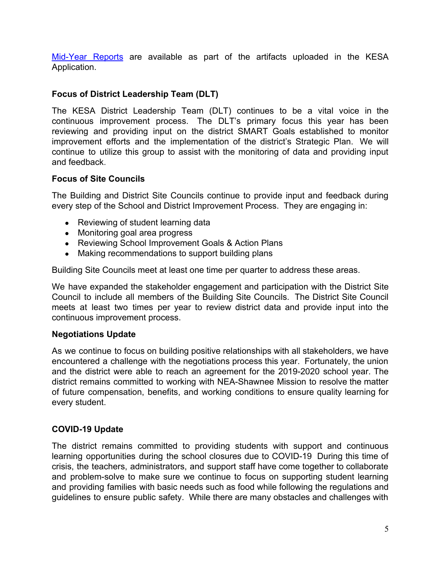[Mid-Year](https://drive.google.com/drive/folders/1iYocObjsrZiP0uIKwZ-JfU1ecyUXkBKS?usp=sharing) Reports are available as part of the artifacts uploaded in the KESA Application.

# **Focus of District Leadership Team (DLT)**

The KESA District Leadership Team (DLT) continues to be a vital voice in the continuous improvement process. The DLT's primary focus this year has been reviewing and providing input on the district SMART Goals established to monitor improvement efforts and the implementation of the district's Strategic Plan. We will continue to utilize this group to assist with the monitoring of data and providing input and feedback.

## **Focus of Site Councils**

The Building and District Site Councils continue to provide input and feedback during every step of the School and District Improvement Process. They are engaging in:

- Reviewing of student learning data
- Monitoring goal area progress
- Reviewing School Improvement Goals & Action Plans
- Making recommendations to support building plans

Building Site Councils meet at least one time per quarter to address these areas.

We have expanded the stakeholder engagement and participation with the District Site Council to include all members of the Building Site Councils. The District Site Council meets at least two times per year to review district data and provide input into the continuous improvement process.

# **Negotiations Update**

As we continue to focus on building positive relationships with all stakeholders, we have encountered a challenge with the negotiations process this year. Fortunately, the union and the district were able to reach an agreement for the 2019-2020 school year. The district remains committed to working with NEA-Shawnee Mission to resolve the matter of future compensation, benefits, and working conditions to ensure quality learning for every student.

# **COVID-19 Update**

The district remains committed to providing students with support and continuous learning opportunities during the school closures due to COVID-19 During this time of crisis, the teachers, administrators, and support staff have come together to collaborate and problem-solve to make sure we continue to focus on supporting student learning and providing families with basic needs such as food while following the regulations and guidelines to ensure public safety. While there are many obstacles and challenges with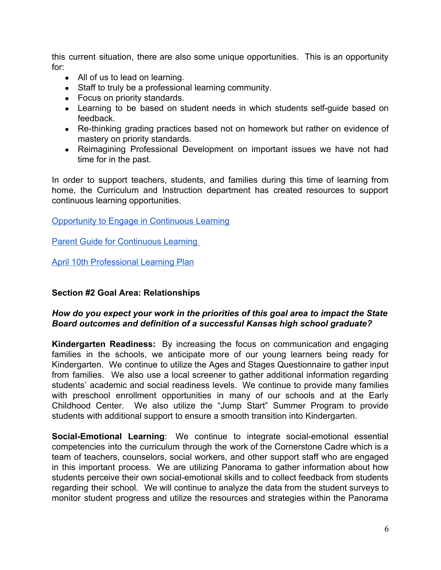this current situation, there are also some unique opportunities. This is an opportunity for:

- All of us to lead on learning.
- Staff to truly be a professional learning community.
- Focus on priority standards.
- Learning to be based on student needs in which students self-quide based on feedback.
- Re-thinking grading practices based not on homework but rather on evidence of mastery on priority standards.
- Reimagining Professional Development on important issues we have not had time for in the past.

In order to support teachers, students, and families during this time of learning from home, the Curriculum and Instruction department has created resources to support continuous learning opportunities.

## [Opportunity to Engage in Continuous Learning](https://drive.google.com/file/d/14Bw0JV21Pbjg-60QWMzO-0zhNbAQ4EzS/view?usp=sharing)

**Parent Guide for Continuous Learning** 

[April 10th Professional Learning Plan](https://drive.google.com/file/d/1Ln_jq7aBpWVDEwbOAHM2ELfwmb3A4zI2/view?usp=sharing)

#### **Section #2 Goal Area: Relationships**

## *How do you expect your work in the priorities of this goal area to impact the State Board outcomes and definition of a successful Kansas high school graduate?*

**Kindergarten Readiness:** By increasing the focus on communication and engaging families in the schools, we anticipate more of our young learners being ready for Kindergarten. We continue to utilize the Ages and Stages Questionnaire to gather input from families. We also use a local screener to gather additional information regarding students' academic and social readiness levels. We continue to provide many families with preschool enrollment opportunities in many of our schools and at the Early Childhood Center. We also utilize the "Jump Start" Summer Program to provide students with additional support to ensure a smooth transition into Kindergarten.

**Social-Emotional Learning**: We continue to integrate social-emotional essential competencies into the curriculum through the work of the Cornerstone Cadre which is a team of teachers, counselors, social workers, and other support staff who are engaged in this important process. We are utilizing Panorama to gather information about how students perceive their own social-emotional skills and to collect feedback from students regarding their school. We will continue to analyze the data from the student surveys to monitor student progress and utilize the resources and strategies within the Panorama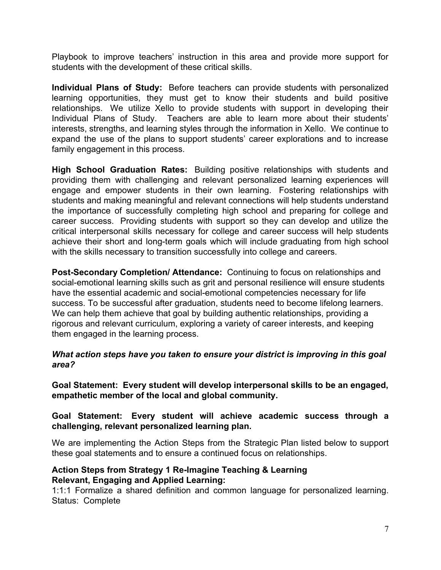Playbook to improve teachers' instruction in this area and provide more support for students with the development of these critical skills.

**Individual Plans of Study:** Before teachers can provide students with personalized learning opportunities, they must get to know their students and build positive relationships. We utilize Xello to provide students with support in developing their Individual Plans of Study. Teachers are able to learn more about their students' interests, strengths, and learning styles through the information in Xello. We continue to expand the use of the plans to support students' career explorations and to increase family engagement in this process.

**High School Graduation Rates:** Building positive relationships with students and providing them with challenging and relevant personalized learning experiences will engage and empower students in their own learning. Fostering relationships with students and making meaningful and relevant connections will help students understand the importance of successfully completing high school and preparing for college and career success. Providing students with support so they can develop and utilize the critical interpersonal skills necessary for college and career success will help students achieve their short and long-term goals which will include graduating from high school with the skills necessary to transition successfully into college and careers.

**Post-Secondary Completion/ Attendance:** Continuing to focus on relationships and social-emotional learning skills such as grit and personal resilience will ensure students have the essential academic and social-emotional competencies necessary for life success. To be successful after graduation, students need to become lifelong learners. We can help them achieve that goal by building authentic relationships, providing a rigorous and relevant curriculum, exploring a variety of career interests, and keeping them engaged in the learning process.

## *What action steps have you taken to ensure your district is improving in this goal area?*

**Goal Statement: Every student will develop interpersonal skills to be an engaged, empathetic member of the local and global community.**

#### **Goal Statement: Every student will achieve academic success through a challenging, relevant personalized learning plan.**

We are implementing the Action Steps from the Strategic Plan listed below to support these goal statements and to ensure a continued focus on relationships.

#### **Action Steps from Strategy 1 Re-Imagine Teaching & Learning Relevant, Engaging and Applied Learning:**

1:1:1 Formalize a shared definition and common language for personalized learning. Status: Complete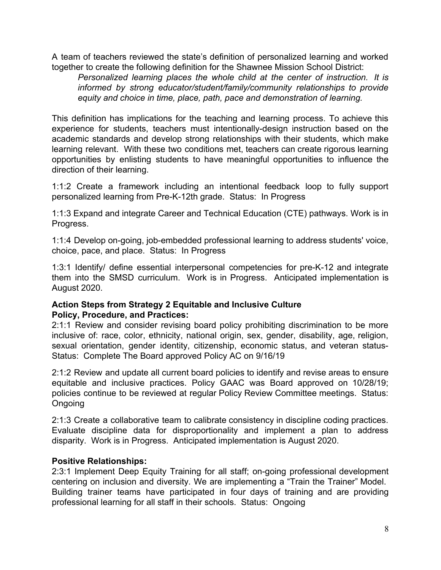A team of teachers reviewed the state's definition of personalized learning and worked together to create the following definition for the Shawnee Mission School District:

*Personalized learning places the whole child at the center of instruction. It is informed by strong educator/student/family/community relationships to provide equity and choice in time, place, path, pace and demonstration of learning.*

This definition has implications for the teaching and learning process. To achieve this experience for students, teachers must intentionally-design instruction based on the academic standards and develop strong relationships with their students, which make learning relevant. With these two conditions met, teachers can create rigorous learning opportunities by enlisting students to have meaningful opportunities to influence the direction of their learning.

1:1:2 Create a framework including an intentional feedback loop to fully support personalized learning from Pre-K-12th grade. Status: In Progress

1:1:3 Expand and integrate Career and Technical Education (CTE) pathways. Work is in Progress.

1:1:4 Develop on-going, job-embedded professional learning to address students' voice, choice, pace, and place. Status: In Progress

1:3:1 Identify/ define essential interpersonal competencies for pre-K-12 and integrate them into the SMSD curriculum. Work is in Progress. Anticipated implementation is August 2020.

## **Action Steps from Strategy 2 Equitable and Inclusive Culture Policy, Procedure, and Practices:**

2:1:1 Review and consider revising board policy prohibiting discrimination to be more inclusive of: race, color, ethnicity, national origin, sex, gender, disability, age, religion, sexual orientation, gender identity, citizenship, economic status, and veteran status-Status: Complete The Board approved Policy AC on 9/16/19

2:1:2 Review and update all current board policies to identify and revise areas to ensure equitable and inclusive practices. Policy GAAC was Board approved on 10/28/19; policies continue to be reviewed at regular Policy Review Committee meetings. Status: Ongoing

2:1:3 Create a collaborative team to calibrate consistency in discipline coding practices. Evaluate discipline data for disproportionality and implement a plan to address disparity. Work is in Progress. Anticipated implementation is August 2020.

# **Positive Relationships:**

2:3:1 Implement Deep Equity Training for all staff; on-going professional development centering on inclusion and diversity. We are implementing a "Train the Trainer" Model. Building trainer teams have participated in four days of training and are providing professional learning for all staff in their schools. Status: Ongoing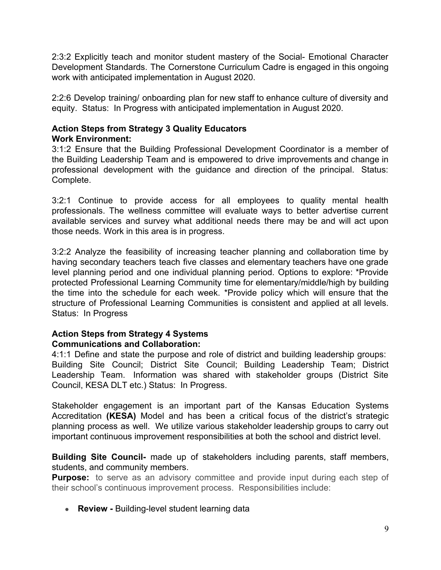2:3:2 Explicitly teach and monitor student mastery of the Social- Emotional Character Development Standards. The Cornerstone Curriculum Cadre is engaged in this ongoing work with anticipated implementation in August 2020.

2:2:6 Develop training/ onboarding plan for new staff to enhance culture of diversity and equity. Status: In Progress with anticipated implementation in August 2020.

#### **Action Steps from Strategy 3 Quality Educators Work Environment:**

3:1:2 Ensure that the Building Professional Development Coordinator is a member of the Building Leadership Team and is empowered to drive improvements and change in professional development with the guidance and direction of the principal. Status: Complete.

3:2:1 Continue to provide access for all employees to quality mental health professionals. The wellness committee will evaluate ways to better advertise current available services and survey what additional needs there may be and will act upon those needs. Work in this area is in progress.

3:2:2 Analyze the feasibility of increasing teacher planning and collaboration time by having secondary teachers teach five classes and elementary teachers have one grade level planning period and one individual planning period. Options to explore: \*Provide protected Professional Learning Community time for elementary/middle/high by building the time into the schedule for each week. \*Provide policy which will ensure that the structure of Professional Learning Communities is consistent and applied at all levels. Status: In Progress

## **Action Steps from Strategy 4 Systems Communications and Collaboration:**

4:1:1 Define and state the purpose and role of district and building leadership groups: Building Site Council; District Site Council; Building Leadership Team; District Leadership Team. Information was shared with stakeholder groups (District Site Council, KESA DLT etc.) Status: In Progress.

Stakeholder engagement is an important part of the Kansas Education Systems Accreditation **(KESA)** Model and has been a critical focus of the district's strategic planning process as well. We utilize various stakeholder leadership groups to carry out important continuous improvement responsibilities at both the school and district level.

**Building Site Council-** made up of stakeholders including parents, staff members, students, and community members.

**Purpose:** to serve as an advisory committee and provide input during each step of their school's continuous improvement process. Responsibilities include:

• **Review - Building-level student learning data**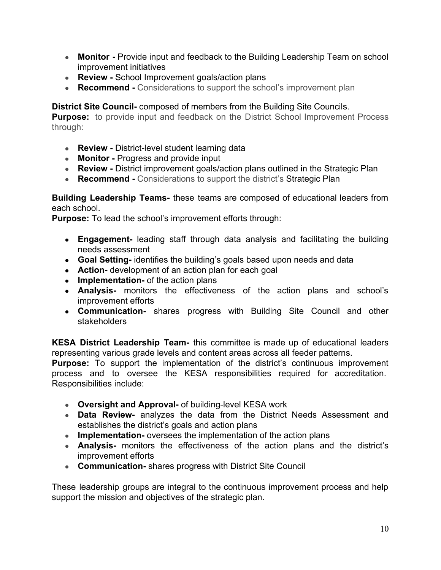- **Monitor -** Provide input and feedback to the Building Leadership Team on school improvement initiatives
- **Review School Improvement goals/action plans**
- **Recommend** Considerations to support the school's improvement plan

# **District Site Council-** composed of members from the Building Site Councils.

**Purpose:** to provide input and feedback on the District School Improvement Process through:

- **Review District-level student learning data**
- **Monitor** Progress and provide input
- **Review -** District improvement goals/action plans outlined in the Strategic Plan
- **Recommend -** Considerations to support the district's Strategic Plan

## **Building Leadership Teams-** these teams are composed of educational leaders from each school.

**Purpose:** To lead the school's improvement efforts through:

- **Engagement-** leading staff through data analysis and facilitating the building needs assessment
- **Goal Setting-** identifies the building's goals based upon needs and data
- **Action-** development of an action plan for each goal
- **Implementation-** of the action plans
- **Analysis-** monitors the effectiveness of the action plans and school's improvement efforts
- **Communication-** shares progress with Building Site Council and other stakeholders

**KESA District Leadership Team-** this committee is made up of educational leaders representing various grade levels and content areas across all feeder patterns.

**Purpose:** To support the implementation of the district's continuous improvement process and to oversee the KESA responsibilities required for accreditation. Responsibilities include:

- **Oversight and Approval-** of building-level KESA work
- **Data Review-** analyzes the data from the District Needs Assessment and establishes the district's goals and action plans
- **● Implementation-** oversees the implementation of the action plans
- **Analysis-** monitors the effectiveness of the action plans and the district's improvement efforts
- **Communication-** shares progress with District Site Council

These leadership groups are integral to the continuous improvement process and help support the mission and objectives of the strategic plan.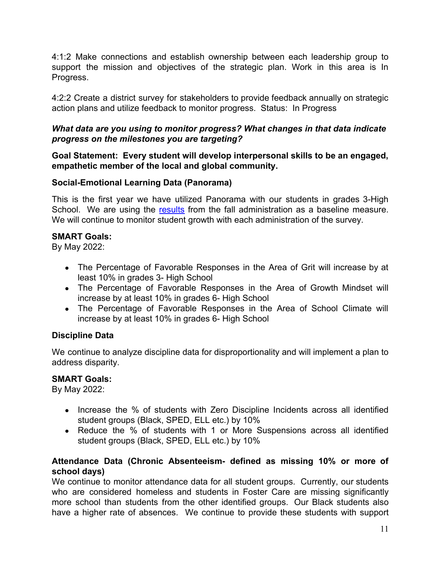4:1:2 Make connections and establish ownership between each leadership group to support the mission and objectives of the strategic plan. Work in this area is In Progress.

4:2:2 Create a district survey for stakeholders to provide feedback annually on strategic action plans and utilize feedback to monitor progress. Status: In Progress

## *What data are you using to monitor progress? What changes in that data indicate progress on the milestones you are targeting?*

## **Goal Statement: Every student will develop interpersonal skills to be an engaged, empathetic member of the local and global community.**

# **Social-Emotional Learning Data (Panorama)**

This is the first year we have utilized Panorama with our students in grades 3-High School. We are using the [results](https://drive.google.com/file/d/1U9NyAeG5pwuARXoW3zGa8KHq-6o8mfPT/view?usp=sharing) from the fall administration as a baseline measure. We will continue to monitor student growth with each administration of the survey.

## **SMART Goals:**

By May 2022:

- The Percentage of Favorable Responses in the Area of Grit will increase by at least 10% in grades 3- High School
- The Percentage of Favorable Responses in the Area of Growth Mindset will increase by at least 10% in grades 6- High School
- The Percentage of Favorable Responses in the Area of School Climate will increase by at least 10% in grades 6- High School

# **Discipline Data**

We continue to analyze discipline data for disproportionality and will implement a plan to address disparity.

#### **SMART Goals:**

By May 2022:

- Increase the % of students with Zero Discipline Incidents across all identified student groups (Black, SPED, ELL etc.) by 10%
- Reduce the % of students with 1 or More Suspensions across all identified student groups (Black, SPED, ELL etc.) by 10%

## **Attendance Data (Chronic Absenteeism- defined as missing 10% or more of school days)**

We continue to monitor attendance data for all student groups. Currently, our students who are considered homeless and students in Foster Care are missing significantly more school than students from the other identified groups. Our Black students also have a higher rate of absences. We continue to provide these students with support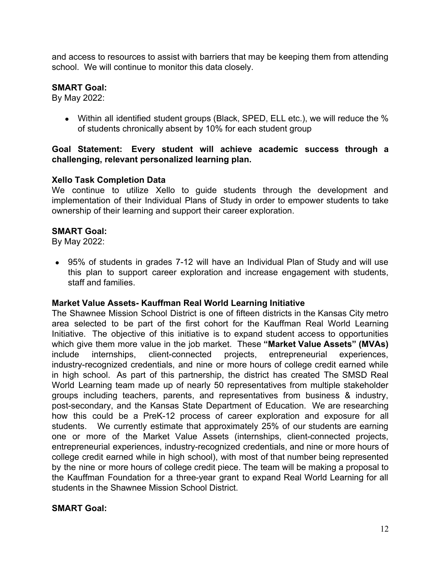and access to resources to assist with barriers that may be keeping them from attending school. We will continue to monitor this data closely.

## **SMART Goal:**

By May 2022:

● Within all identified student groups (Black, SPED, ELL etc.), we will reduce the % of students chronically absent by 10% for each student group

## **Goal Statement: Every student will achieve academic success through a challenging, relevant personalized learning plan.**

## **Xello Task Completion Data**

We continue to utilize Xello to guide students through the development and implementation of their Individual Plans of Study in order to empower students to take ownership of their learning and support their career exploration.

#### **SMART Goal:**

By May 2022:

• 95% of students in grades 7-12 will have an Individual Plan of Study and will use this plan to support career exploration and increase engagement with students, staff and families.

#### **Market Value Assets- Kauffman Real World Learning Initiative**

The Shawnee Mission School District is one of fifteen districts in the Kansas City metro area selected to be part of the first cohort for the Kauffman Real World Learning Initiative. The objective of this initiative is to expand student access to opportunities which give them more value in the job market. These **"Market Value Assets" (MVAs)** include internships, client-connected projects, entrepreneurial experiences, industry-recognized credentials, and nine or more hours of college credit earned while in high school. As part of this partnership, the district has created The SMSD Real World Learning team made up of nearly 50 representatives from multiple stakeholder groups including teachers, parents, and representatives from business & industry, post-secondary, and the Kansas State Department of Education. We are researching how this could be a PreK-12 process of career exploration and exposure for all students. We currently estimate that approximately 25% of our students are earning one or more of the Market Value Assets (internships, client-connected projects, entrepreneurial experiences, industry-recognized credentials, and nine or more hours of college credit earned while in high school), with most of that number being represented by the nine or more hours of college credit piece. The team will be making a proposal to the Kauffman Foundation for a three-year grant to expand Real World Learning for all students in the Shawnee Mission School District.

#### **SMART Goal:**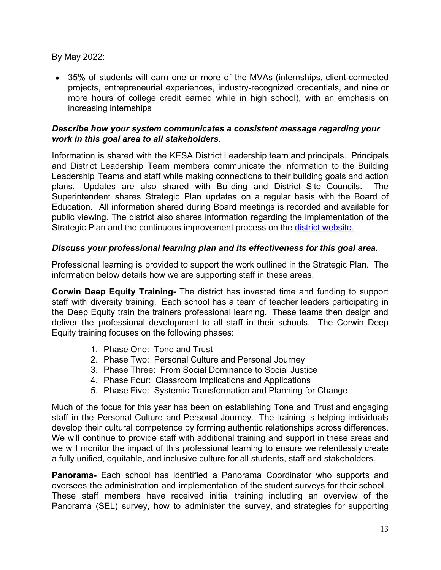By May 2022:

• 35% of students will earn one or more of the MVAs (internships, client-connected projects, entrepreneurial experiences, industry-recognized credentials, and nine or more hours of college credit earned while in high school), with an emphasis on increasing internships

## *Describe how your system communicates a consistent message regarding your work in this goal area to all stakeholders*.

Information is shared with the KESA District Leadership team and principals. Principals and District Leadership Team members communicate the information to the Building Leadership Teams and staff while making connections to their building goals and action plans. Updates are also shared with Building and District Site Councils. The Superintendent shares Strategic Plan updates on a regular basis with the Board of Education. All information shared during Board meetings is recorded and available for public viewing. The district also shares information regarding the implementation of the Strategic Plan and the continuous improvement process on the [district website.](https://www.smsd.org/about/strategic-plan-2019-2024)

# *Discuss your professional learning plan and its effectiveness for this goal area.*

Professional learning is provided to support the work outlined in the Strategic Plan. The information below details how we are supporting staff in these areas.

**Corwin Deep Equity Training-** The district has invested time and funding to support staff with diversity training. Each school has a team of teacher leaders participating in the Deep Equity train the trainers professional learning. These teams then design and deliver the professional development to all staff in their schools. The Corwin Deep Equity training focuses on the following phases:

- 1. Phase One: Tone and Trust
- 2. Phase Two: Personal Culture and Personal Journey
- 3. Phase Three: From Social Dominance to Social Justice
- 4. Phase Four: Classroom Implications and Applications
- 5. Phase Five: Systemic Transformation and Planning for Change

Much of the focus for this year has been on establishing Tone and Trust and engaging staff in the Personal Culture and Personal Journey. The training is helping individuals develop their cultural competence by forming authentic relationships across differences. We will continue to provide staff with additional training and support in these areas and we will monitor the impact of this professional learning to ensure we relentlessly create a fully unified, equitable, and inclusive culture for all students, staff and stakeholders.

**Panorama-** Each school has identified a Panorama Coordinator who supports and oversees the administration and implementation of the student surveys for their school. These staff members have received initial training including an overview of the Panorama (SEL) survey, how to administer the survey, and strategies for supporting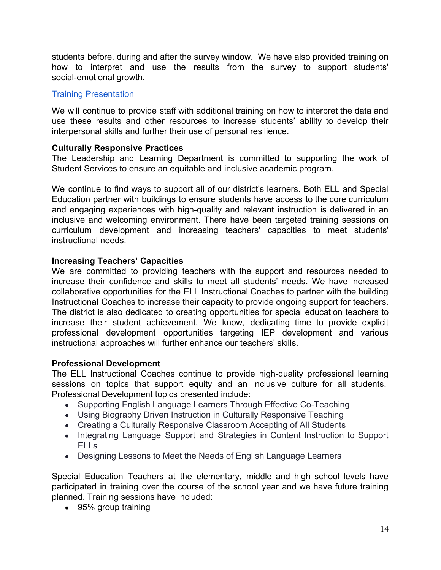students before, during and after the survey window. We have also provided training on how to interpret and use the results from the survey to support students' social-emotional growth.

## [Training Presentation](https://docs.google.com/presentation/d/1KaExjWKwoZ8Y7sKkG3xu4h8EFmq1zoPOF48IOGEMr0U/edit?usp=sharing)

We will continue to provide staff with additional training on how to interpret the data and use these results and other resources to increase students' ability to develop their interpersonal skills and further their use of personal resilience.

# **Culturally Responsive Practices**

The Leadership and Learning Department is committed to supporting the work of Student Services to ensure an equitable and inclusive academic program.

We continue to find ways to support all of our district's learners. Both ELL and Special Education partner with buildings to ensure students have access to the core curriculum and engaging experiences with high-quality and relevant instruction is delivered in an inclusive and welcoming environment. There have been targeted training sessions on curriculum development and increasing teachers' capacities to meet students' instructional needs.

# **Increasing Teachers' Capacities**

We are committed to providing teachers with the support and resources needed to increase their confidence and skills to meet all students' needs. We have increased collaborative opportunities for the ELL Instructional Coaches to partner with the building Instructional Coaches to increase their capacity to provide ongoing support for teachers. The district is also dedicated to creating opportunities for special education teachers to increase their student achievement. We know, dedicating time to provide explicit professional development opportunities targeting IEP development and various instructional approaches will further enhance our teachers' skills.

# **Professional Development**

The ELL Instructional Coaches continue to provide high-quality professional learning sessions on topics that support equity and an inclusive culture for all students. Professional Development topics presented include:

- Supporting English Language Learners Through Effective Co-Teaching
- Using Biography Driven Instruction in Culturally Responsive Teaching
- Creating a Culturally Responsive Classroom Accepting of All Students
- Integrating Language Support and Strategies in Content Instruction to Support ELLs
- Designing Lessons to Meet the Needs of English Language Learners

Special Education Teachers at the elementary, middle and high school levels have participated in training over the course of the school year and we have future training planned. Training sessions have included:

• 95% group training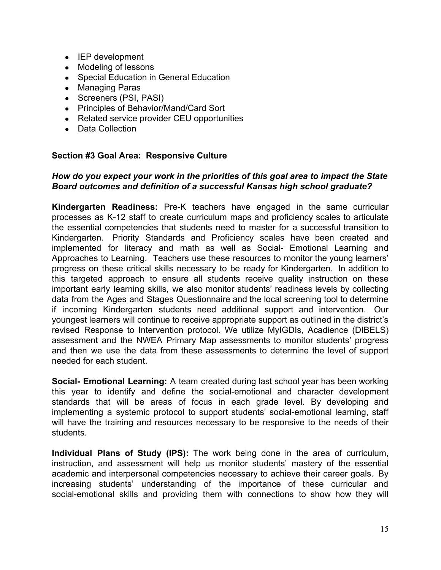- IEP development
- Modeling of lessons
- Special Education in General Education
- Managing Paras
- Screeners (PSI, PASI)
- Principles of Behavior/Mand/Card Sort
- Related service provider CEU opportunities
- Data Collection

#### **Section #3 Goal Area: Responsive Culture**

#### *How do you expect your work in the priorities of this goal area to impact the State Board outcomes and definition of a successful Kansas high school graduate?*

**Kindergarten Readiness:** Pre-K teachers have engaged in the same curricular processes as K-12 staff to create curriculum maps and proficiency scales to articulate the essential competencies that students need to master for a successful transition to Kindergarten. Priority Standards and Proficiency scales have been created and implemented for literacy and math as well as Social- Emotional Learning and Approaches to Learning. Teachers use these resources to monitor the young learners' progress on these critical skills necessary to be ready for Kindergarten. In addition to this targeted approach to ensure all students receive quality instruction on these important early learning skills, we also monitor students' readiness levels by collecting data from the Ages and Stages Questionnaire and the local screening tool to determine if incoming Kindergarten students need additional support and intervention. Our youngest learners will continue to receive appropriate support as outlined in the district's revised Response to Intervention protocol. We utilize MyIGDIs, Acadience (DIBELS) assessment and the NWEA Primary Map assessments to monitor students' progress and then we use the data from these assessments to determine the level of support needed for each student.

**Social- Emotional Learning:** A team created during last school year has been working this year to identify and define the social-emotional and character development standards that will be areas of focus in each grade level. By developing and implementing a systemic protocol to support students' social-emotional learning, staff will have the training and resources necessary to be responsive to the needs of their students.

**Individual Plans of Study (IPS):** The work being done in the area of curriculum, instruction, and assessment will help us monitor students' mastery of the essential academic and interpersonal competencies necessary to achieve their career goals. By increasing students' understanding of the importance of these curricular and social-emotional skills and providing them with connections to show how they will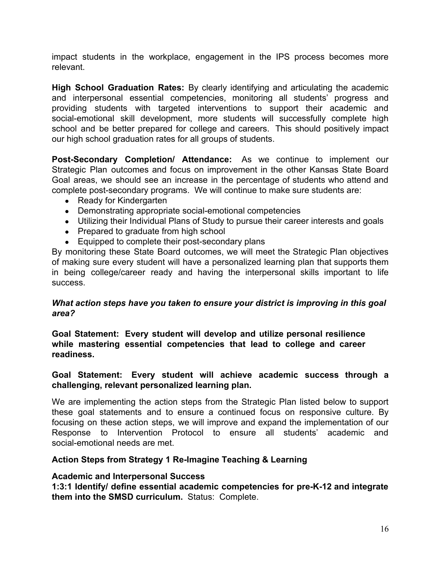impact students in the workplace, engagement in the IPS process becomes more relevant.

**High School Graduation Rates:** By clearly identifying and articulating the academic and interpersonal essential competencies, monitoring all students' progress and providing students with targeted interventions to support their academic and social-emotional skill development, more students will successfully complete high school and be better prepared for college and careers. This should positively impact our high school graduation rates for all groups of students.

**Post-Secondary Completion/ Attendance:** As we continue to implement our Strategic Plan outcomes and focus on improvement in the other Kansas State Board Goal areas, we should see an increase in the percentage of students who attend and complete post-secondary programs. We will continue to make sure students are:

- Ready for Kindergarten
- Demonstrating appropriate social-emotional competencies
- Utilizing their Individual Plans of Study to pursue their career interests and goals
- Prepared to graduate from high school
- Equipped to complete their post-secondary plans

By monitoring these State Board outcomes, we will meet the Strategic Plan objectives of making sure every student will have a personalized learning plan that supports them in being college/career ready and having the interpersonal skills important to life success.

#### *What action steps have you taken to ensure your district is improving in this goal area?*

**Goal Statement: Every student will develop and utilize personal resilience while mastering essential competencies that lead to college and career readiness.**

## **Goal Statement: Every student will achieve academic success through a challenging, relevant personalized learning plan.**

We are implementing the action steps from the Strategic Plan listed below to support these goal statements and to ensure a continued focus on responsive culture. By focusing on these action steps, we will improve and expand the implementation of our Response to Intervention Protocol to ensure all students' academic and social-emotional needs are met.

#### **Action Steps from Strategy 1 Re-Imagine Teaching & Learning**

#### **Academic and Interpersonal Success**

**1:3:1 Identify/ define essential academic competencies for pre-K-12 and integrate them into the SMSD curriculum.** Status: Complete.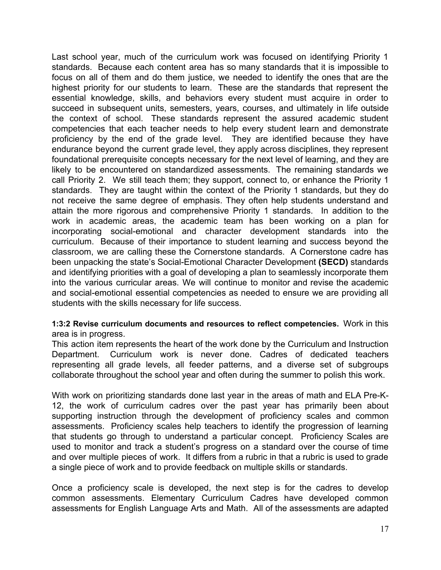Last school year, much of the curriculum work was focused on identifying Priority 1 standards. Because each content area has so many standards that it is impossible to focus on all of them and do them justice, we needed to identify the ones that are the highest priority for our students to learn. These are the standards that represent the essential knowledge, skills, and behaviors every student must acquire in order to succeed in subsequent units, semesters, years, courses, and ultimately in life outside the context of school. These standards represent the assured academic student competencies that each teacher needs to help every student learn and demonstrate proficiency by the end of the grade level. They are identified because they have endurance beyond the current grade level, they apply across disciplines, they represent foundational prerequisite concepts necessary for the next level of learning, and they are likely to be encountered on standardized assessments. The remaining standards we call Priority 2. We still teach them; they support, connect to, or enhance the Priority 1 standards. They are taught within the context of the Priority 1 standards, but they do not receive the same degree of emphasis. They often help students understand and attain the more rigorous and comprehensive Priority 1 standards. In addition to the work in academic areas, the academic team has been working on a plan for incorporating social-emotional and character development standards into the curriculum. Because of their importance to student learning and success beyond the classroom, we are calling these the Cornerstone standards. A Cornerstone cadre has been unpacking the state's Social-Emotional Character Development **(SECD)** standards and identifying priorities with a goal of developing a plan to seamlessly incorporate them into the various curricular areas. We will continue to monitor and revise the academic and social-emotional essential competencies as needed to ensure we are providing all students with the skills necessary for life success.

#### **1:3:2 Revise curriculum documents and resources to reflect competencies.** Work in this area is in progress.

This action item represents the heart of the work done by the Curriculum and Instruction Department. Curriculum work is never done. Cadres of dedicated teachers representing all grade levels, all feeder patterns, and a diverse set of subgroups collaborate throughout the school year and often during the summer to polish this work.

With work on prioritizing standards done last year in the areas of math and ELA Pre-K-12, the work of curriculum cadres over the past year has primarily been about supporting instruction through the development of proficiency scales and common assessments. Proficiency scales help teachers to identify the progression of learning that students go through to understand a particular concept. Proficiency Scales are used to monitor and track a student's progress on a standard over the course of time and over multiple pieces of work. It differs from a rubric in that a rubric is used to grade a single piece of work and to provide feedback on multiple skills or standards.

Once a proficiency scale is developed, the next step is for the cadres to develop common assessments. Elementary Curriculum Cadres have developed common assessments for English Language Arts and Math. All of the assessments are adapted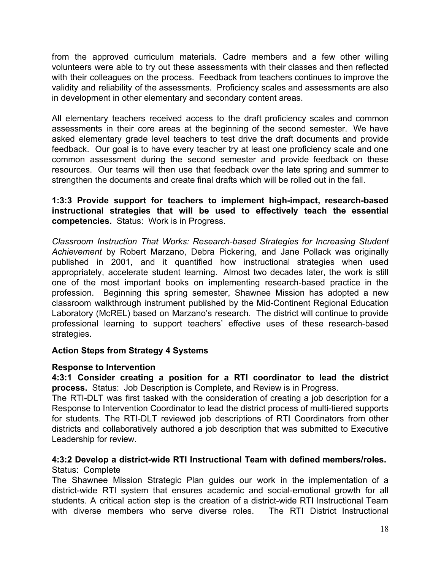from the approved curriculum materials. Cadre members and a few other willing volunteers were able to try out these assessments with their classes and then reflected with their colleagues on the process. Feedback from teachers continues to improve the validity and reliability of the assessments. Proficiency scales and assessments are also in development in other elementary and secondary content areas.

All elementary teachers received access to the draft proficiency scales and common assessments in their core areas at the beginning of the second semester. We have asked elementary grade level teachers to test drive the draft documents and provide feedback. Our goal is to have every teacher try at least one proficiency scale and one common assessment during the second semester and provide feedback on these resources. Our teams will then use that feedback over the late spring and summer to strengthen the documents and create final drafts which will be rolled out in the fall.

**1:3:3 Provide support for teachers to implement high-impact, research-based instructional strategies that will be used to effectively teach the essential competencies.** Status: Work is in Progress.

*Classroom Instruction That Works: Research-based Strategies for Increasing Student Achievement* by Robert Marzano, Debra Pickering, and Jane Pollack was originally published in 2001, and it quantified how instructional strategies when used appropriately, accelerate student learning. Almost two decades later, the work is still one of the most important books on implementing research-based practice in the profession. Beginning this spring semester, Shawnee Mission has adopted a new classroom walkthrough instrument published by the Mid-Continent Regional Education Laboratory (McREL) based on Marzano's research. The district will continue to provide professional learning to support teachers' effective uses of these research-based strategies.

#### **Action Steps from Strategy 4 Systems**

#### **Response to Intervention**

**4:3:1 Consider creating a position for a RTI coordinator to lead the district process.** Status: Job Description is Complete, and Review is in Progress.

The RTI-DLT was first tasked with the consideration of creating a job description for a Response to Intervention Coordinator to lead the district process of multi-tiered supports for students. The RTI-DLT reviewed job descriptions of RTI Coordinators from other districts and collaboratively authored a job description that was submitted to Executive Leadership for review.

#### **4:3:2 Develop a district-wide RTI Instructional Team with defined members/roles.**  Status: Complete

The Shawnee Mission Strategic Plan guides our work in the implementation of a district-wide RTI system that ensures academic and social-emotional growth for all students. A critical action step is the creation of a district-wide RTI Instructional Team with diverse members who serve diverse roles. The RTI District Instructional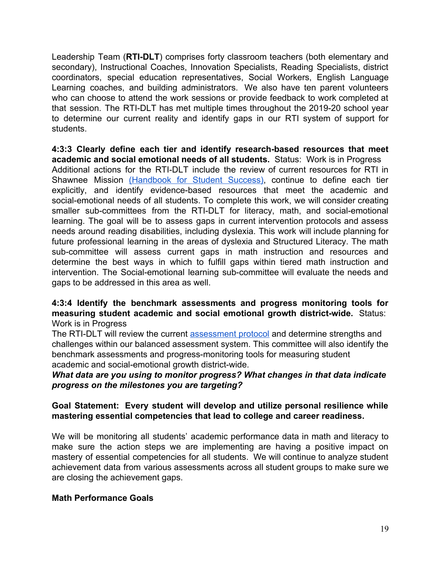Leadership Team (**RTI-DLT**) comprises forty classroom teachers (both elementary and secondary), Instructional Coaches, Innovation Specialists, Reading Specialists, district coordinators, special education representatives, Social Workers, English Language Learning coaches, and building administrators. We also have ten parent volunteers who can choose to attend the work sessions or provide feedback to work completed at that session. The RTI-DLT has met multiple times throughout the 2019-20 school year to determine our current reality and identify gaps in our RTI system of support for students.

**4:3:3 Clearly define each tier and identify research-based resources that meet academic and social emotional needs of all students.** Status: Work is in Progress Additional actions for the RTI-DLT include the review of current resources for RTI in Shawnee Mission [\(Handbook](https://docs.google.com/document/d/16R-tEYFkknl0NwbFb2ydCSUr-Vzv_TT1tw5_jIrcwS0/edit?usp=sharing) for Student Success), continue to define each tier explicitly, and identify evidence-based resources that meet the academic and social-emotional needs of all students. To complete this work, we will consider creating smaller sub-committees from the RTI-DLT for literacy, math, and social-emotional learning. The goal will be to assess gaps in current intervention protocols and assess needs around reading disabilities, including dyslexia. This work will include planning for future professional learning in the areas of dyslexia and Structured Literacy. The math sub-committee will assess current gaps in math instruction and resources and determine the best ways in which to fulfill gaps within tiered math instruction and intervention. The Social-emotional learning sub-committee will evaluate the needs and gaps to be addressed in this area as well.

## **4:3:4 Identify the benchmark assessments and progress monitoring tools for measuring student academic and social emotional growth district-wide.** Status: Work is in Progress

The RTI-DLT will review the current **[assessment protocol](https://drive.google.com/file/d/1VsiWyCm69-3O3pfVkAYWmXyynIlnYGim/view?usp=sharing)** and determine strengths and challenges within our balanced assessment system. This committee will also identify the benchmark assessments and progress-monitoring tools for measuring student academic and social-emotional growth district-wide.

## *What data are you using to monitor progress? What changes in that data indicate progress on the milestones you are targeting?*

# **Goal Statement: Every student will develop and utilize personal resilience while mastering essential competencies that lead to college and career readiness.**

We will be monitoring all students' academic performance data in math and literacy to make sure the action steps we are implementing are having a positive impact on mastery of essential competencies for all students. We will continue to analyze student achievement data from various assessments across all student groups to make sure we are closing the achievement gaps.

# **Math Performance Goals**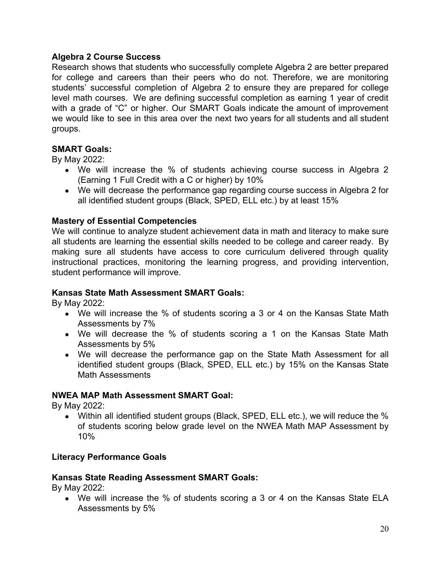# **Algebra 2 Course Success**

Research shows that students who successfully complete Algebra 2 are better prepared for college and careers than their peers who do not. Therefore, we are monitoring students' successful completion of Algebra 2 to ensure they are prepared for college level math courses. We are defining successful completion as earning 1 year of credit with a grade of "C" or higher. Our SMART Goals indicate the amount of improvement we would like to see in this area over the next two years for all students and all student groups.

## **SMART Goals:**

By May 2022:

- We will increase the % of students achieving course success in Algebra 2 (Earning 1 Full Credit with a C or higher) by 10%
- We will decrease the performance gap regarding course success in Algebra 2 for all identified student groups (Black, SPED, ELL etc.) by at least 15%

## **Mastery of Essential Competencies**

We will continue to analyze student achievement data in math and literacy to make sure all students are learning the essential skills needed to be college and career ready. By making sure all students have access to core curriculum delivered through quality instructional practices, monitoring the learning progress, and providing intervention, student performance will improve.

#### **Kansas State Math Assessment SMART Goals:**

By May 2022:

- We will increase the % of students scoring a 3 or 4 on the Kansas State Math Assessments by 7%
- We will decrease the % of students scoring a 1 on the Kansas State Math Assessments by 5%
- We will decrease the performance gap on the State Math Assessment for all identified student groups (Black, SPED, ELL etc.) by 15% on the Kansas State Math Assessments

#### **NWEA MAP Math Assessment SMART Goal:**

By May 2022:

• Within all identified student groups (Black, SPED, ELL etc.), we will reduce the % of students scoring below grade level on the NWEA Math MAP Assessment by 10%

# **Literacy Performance Goals**

#### **Kansas State Reading Assessment SMART Goals:**

By May 2022:

• We will increase the % of students scoring a 3 or 4 on the Kansas State ELA Assessments by 5%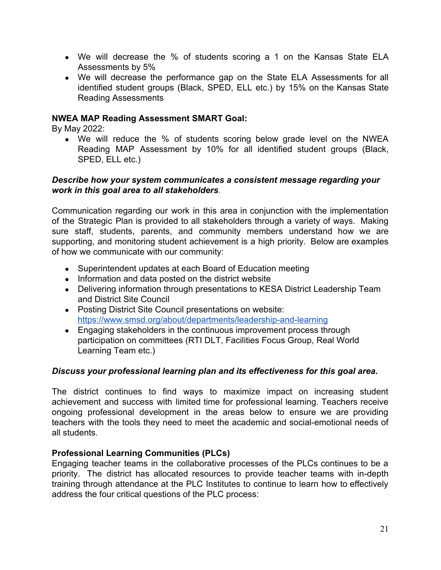- We will decrease the % of students scoring a 1 on the Kansas State ELA Assessments by 5%
- We will decrease the performance gap on the State ELA Assessments for all identified student groups (Black, SPED, ELL etc.) by 15% on the Kansas State Reading Assessments

## **NWEA MAP Reading Assessment SMART Goal:**

By May 2022:

• We will reduce the % of students scoring below grade level on the NWEA Reading MAP Assessment by 10% for all identified student groups (Black, SPED, ELL etc.)

## *Describe how your system communicates a consistent message regarding your work in this goal area to all stakeholders*.

Communication regarding our work in this area in conjunction with the implementation of the Strategic Plan is provided to all stakeholders through a variety of ways. Making sure staff, students, parents, and community members understand how we are supporting, and monitoring student achievement is a high priority. Below are examples of how we communicate with our community:

- Superintendent updates at each Board of Education meeting
- Information and data posted on the district website
- Delivering information through presentations to KESA District Leadership Team and District Site Council
- Posting District Site Council presentations on website: <https://www.smsd.org/about/departments/leadership-and-learning>
- Engaging stakeholders in the continuous improvement process through participation on committees (RTI DLT, Facilities Focus Group, Real World Learning Team etc.)

# *Discuss your professional learning plan and its effectiveness for this goal area.*

The district continues to find ways to maximize impact on increasing student achievement and success with limited time for professional learning. Teachers receive ongoing professional development in the areas below to ensure we are providing teachers with the tools they need to meet the academic and social-emotional needs of all students.

# **Professional Learning Communities (PLCs)**

Engaging teacher teams in the collaborative processes of the PLCs continues to be a priority. The district has allocated resources to provide teacher teams with in-depth training through attendance at the PLC Institutes to continue to learn how to effectively address the four critical questions of the PLC process: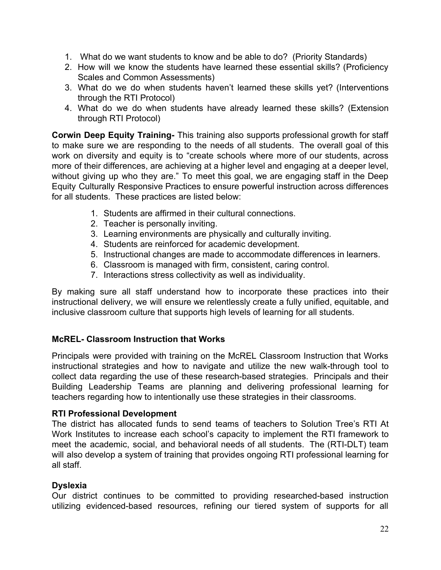- 1. What do we want students to know and be able to do? (Priority Standards)
- 2. How will we know the students have learned these essential skills? (Proficiency Scales and Common Assessments)
- 3. What do we do when students haven't learned these skills yet? (Interventions through the RTI Protocol)
- 4. What do we do when students have already learned these skills? (Extension through RTI Protocol)

**Corwin Deep Equity Training-** This training also supports professional growth for staff to make sure we are responding to the needs of all students. The overall goal of this work on diversity and equity is to "create schools where more of our students, across more of their differences, are achieving at a higher level and engaging at a deeper level, without giving up who they are." To meet this goal, we are engaging staff in the Deep Equity Culturally Responsive Practices to ensure powerful instruction across differences for all students. These practices are listed below:

- 1. Students are affirmed in their cultural connections.
- 2. Teacher is personally inviting.
- 3. Learning environments are physically and culturally inviting.
- 4. Students are reinforced for academic development.
- 5. Instructional changes are made to accommodate differences in learners.
- 6. Classroom is managed with firm, consistent, caring control.
- 7. Interactions stress collectivity as well as individuality.

By making sure all staff understand how to incorporate these practices into their instructional delivery, we will ensure we relentlessly create a fully unified, equitable, and inclusive classroom culture that supports high levels of learning for all students.

# **McREL- Classroom Instruction that Works**

Principals were provided with training on the McREL Classroom Instruction that Works instructional strategies and how to navigate and utilize the new walk-through tool to collect data regarding the use of these research-based strategies. Principals and their Building Leadership Teams are planning and delivering professional learning for teachers regarding how to intentionally use these strategies in their classrooms.

#### **RTI Professional Development**

The district has allocated funds to send teams of teachers to Solution Tree's RTI At Work Institutes to increase each school's capacity to implement the RTI framework to meet the academic, social, and behavioral needs of all students. The (RTI-DLT) team will also develop a system of training that provides ongoing RTI professional learning for all staff.

# **Dyslexia**

Our district continues to be committed to providing researched-based instruction utilizing evidenced-based resources, refining our tiered system of supports for all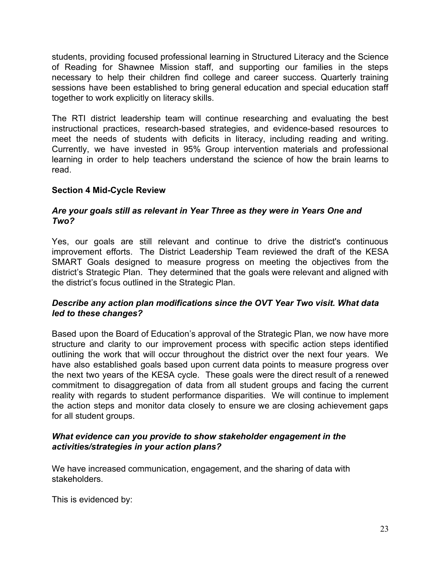students, providing focused professional learning in Structured Literacy and the Science of Reading for Shawnee Mission staff, and supporting our families in the steps necessary to help their children find college and career success. Quarterly training sessions have been established to bring general education and special education staff together to work explicitly on literacy skills.

The RTI district leadership team will continue researching and evaluating the best instructional practices, research-based strategies, and evidence-based resources to meet the needs of students with deficits in literacy, including reading and writing. Currently, we have invested in 95% Group intervention materials and professional learning in order to help teachers understand the science of how the brain learns to read.

# **Section 4 Mid-Cycle Review**

## *Are your goals still as relevant in Year Three as they were in Years One and Two?*

Yes, our goals are still relevant and continue to drive the district's continuous improvement efforts. The District Leadership Team reviewed the draft of the KESA SMART Goals designed to measure progress on meeting the objectives from the district's Strategic Plan. They determined that the goals were relevant and aligned with the district's focus outlined in the Strategic Plan.

## *Describe any action plan modifications since the OVT Year Two visit. What data led to these changes?*

Based upon the Board of Education's approval of the Strategic Plan, we now have more structure and clarity to our improvement process with specific action steps identified outlining the work that will occur throughout the district over the next four years. We have also established goals based upon current data points to measure progress over the next two years of the KESA cycle. These goals were the direct result of a renewed commitment to disaggregation of data from all student groups and facing the current reality with regards to student performance disparities. We will continue to implement the action steps and monitor data closely to ensure we are closing achievement gaps for all student groups.

## *What evidence can you provide to show stakeholder engagement in the activities/strategies in your action plans?*

We have increased communication, engagement, and the sharing of data with stakeholders.

This is evidenced by: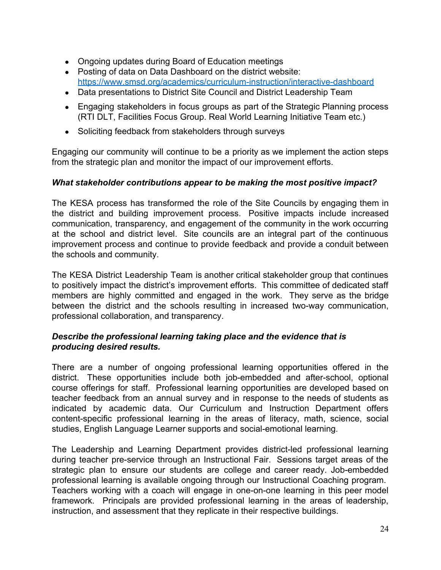- Ongoing updates during Board of Education meetings
- Posting of data on Data Dashboard on the district website: <https://www.smsd.org/academics/curriculum-instruction/interactive-dashboard>
- Data presentations to District Site Council and District Leadership Team
- Engaging stakeholders in focus groups as part of the Strategic Planning process (RTI DLT, Facilities Focus Group. Real World Learning Initiative Team etc.)
- Soliciting feedback from stakeholders through surveys

Engaging our community will continue to be a priority as we implement the action steps from the strategic plan and monitor the impact of our improvement efforts.

## *What stakeholder contributions appear to be making the most positive impact?*

The KESA process has transformed the role of the Site Councils by engaging them in the district and building improvement process. Positive impacts include increased communication, transparency, and engagement of the community in the work occurring at the school and district level. Site councils are an integral part of the continuous improvement process and continue to provide feedback and provide a conduit between the schools and community.

The KESA District Leadership Team is another critical stakeholder group that continues to positively impact the district's improvement efforts. This committee of dedicated staff members are highly committed and engaged in the work. They serve as the bridge between the district and the schools resulting in increased two-way communication, professional collaboration, and transparency.

## *Describe the professional learning taking place and the evidence that is producing desired results.*

There are a number of ongoing professional learning opportunities offered in the district. These opportunities include both job-embedded and after-school, optional course offerings for staff. Professional learning opportunities are developed based on teacher feedback from an annual survey and in response to the needs of students as indicated by academic data. Our Curriculum and Instruction Department offers content-specific professional learning in the areas of literacy, math, science, social studies, English Language Learner supports and social-emotional learning.

The Leadership and Learning Department provides district-led professional learning during teacher pre-service through an Instructional Fair. Sessions target areas of the strategic plan to ensure our students are college and career ready. Job-embedded professional learning is available ongoing through our Instructional Coaching program. Teachers working with a coach will engage in one-on-one learning in this peer model framework. Principals are provided professional learning in the areas of leadership, instruction, and assessment that they replicate in their respective buildings.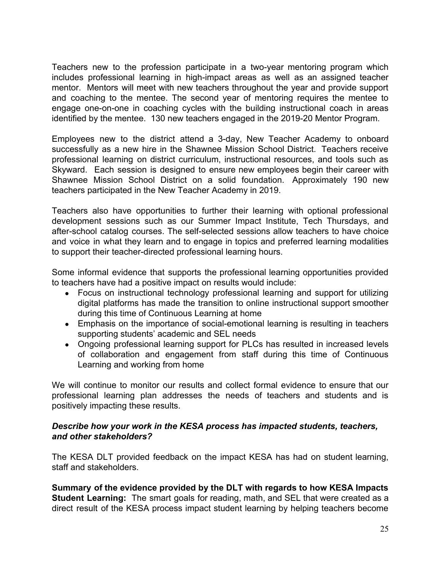Teachers new to the profession participate in a two-year mentoring program which includes professional learning in high-impact areas as well as an assigned teacher mentor. Mentors will meet with new teachers throughout the year and provide support and coaching to the mentee. The second year of mentoring requires the mentee to engage one-on-one in coaching cycles with the building instructional coach in areas identified by the mentee. 130 new teachers engaged in the 2019-20 Mentor Program.

Employees new to the district attend a 3-day, New Teacher Academy to onboard successfully as a new hire in the Shawnee Mission School District. Teachers receive professional learning on district curriculum, instructional resources, and tools such as Skyward. Each session is designed to ensure new employees begin their career with Shawnee Mission School District on a solid foundation. Approximately 190 new teachers participated in the New Teacher Academy in 2019.

Teachers also have opportunities to further their learning with optional professional development sessions such as our Summer Impact Institute, Tech Thursdays, and after-school catalog courses. The self-selected sessions allow teachers to have choice and voice in what they learn and to engage in topics and preferred learning modalities to support their teacher-directed professional learning hours.

Some informal evidence that supports the professional learning opportunities provided to teachers have had a positive impact on results would include:

- Focus on instructional technology professional learning and support for utilizing digital platforms has made the transition to online instructional support smoother during this time of Continuous Learning at home
- Emphasis on the importance of social-emotional learning is resulting in teachers supporting students' academic and SEL needs
- Ongoing professional learning support for PLCs has resulted in increased levels of collaboration and engagement from staff during this time of Continuous Learning and working from home

We will continue to monitor our results and collect formal evidence to ensure that our professional learning plan addresses the needs of teachers and students and is positively impacting these results.

## *Describe how your work in the KESA process has impacted students, teachers, and other stakeholders?*

The KESA DLT provided feedback on the impact KESA has had on student learning, staff and stakeholders.

**Summary of the evidence provided by the DLT with regards to how KESA Impacts Student Learning:** The smart goals for reading, math, and SEL that were created as a direct result of the KESA process impact student learning by helping teachers become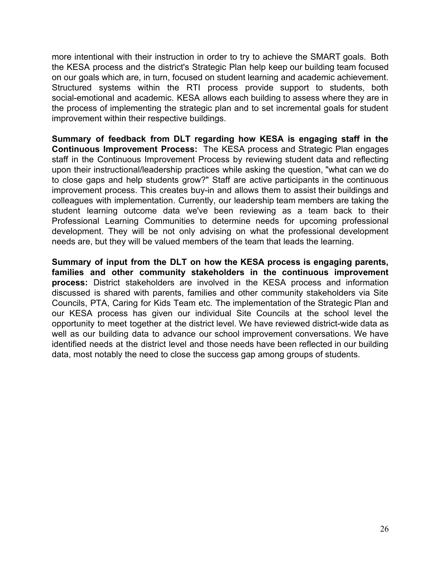more intentional with their instruction in order to try to achieve the SMART goals. Both the KESA process and the district's Strategic Plan help keep our building team focused on our goals which are, in turn, focused on student learning and academic achievement. Structured systems within the RTI process provide support to students, both social-emotional and academic. KESA allows each building to assess where they are in the process of implementing the strategic plan and to set incremental goals for student improvement within their respective buildings.

**Summary of feedback from DLT regarding how KESA is engaging staff in the Continuous Improvement Process:** The KESA process and Strategic Plan engages staff in the Continuous Improvement Process by reviewing student data and reflecting upon their instructional/leadership practices while asking the question, "what can we do to close gaps and help students grow?" Staff are active participants in the continuous improvement process. This creates buy-in and allows them to assist their buildings and colleagues with implementation. Currently, our leadership team members are taking the student learning outcome data we've been reviewing as a team back to their Professional Learning Communities to determine needs for upcoming professional development. They will be not only advising on what the professional development needs are, but they will be valued members of the team that leads the learning.

**Summary of input from the DLT on how the KESA process is engaging parents, families and other community stakeholders in the continuous improvement process:** District stakeholders are involved in the KESA process and information discussed is shared with parents, families and other community stakeholders via Site Councils, PTA, Caring for Kids Team etc. The implementation of the Strategic Plan and our KESA process has given our individual Site Councils at the school level the opportunity to meet together at the district level. We have reviewed district-wide data as well as our building data to advance our school improvement conversations. We have identified needs at the district level and those needs have been reflected in our building data, most notably the need to close the success gap among groups of students.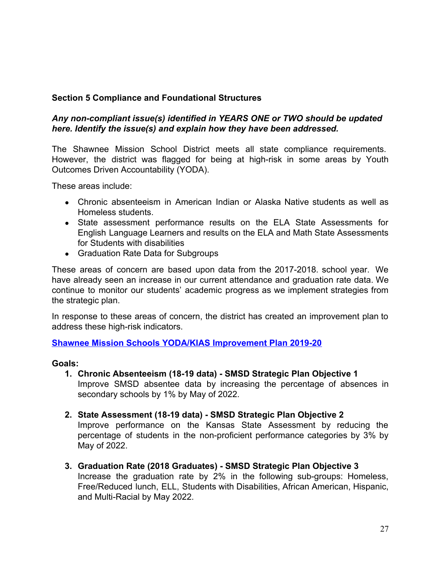# **Section 5 Compliance and Foundational Structures**

# *Any non-compliant issue(s) identified in YEARS ONE or TWO should be updated here. Identify the issue(s) and explain how they have been addressed.*

The Shawnee Mission School District meets all state compliance requirements. However, the district was flagged for being at high-risk in some areas by Youth Outcomes Driven Accountability (YODA).

These areas include:

- Chronic absenteeism in American Indian or Alaska Native students as well as Homeless students.
- State assessment performance results on the ELA State Assessments for English Language Learners and results on the ELA and Math State Assessments for Students with disabilities
- Graduation Rate Data for Subgroups

These areas of concern are based upon data from the 2017-2018. school year. We have already seen an increase in our current attendance and graduation rate data. We continue to monitor our students' academic progress as we implement strategies from the strategic plan.

In response to these areas of concern, the district has created an improvement plan to address these high-risk indicators.

**[Shawnee Mission Schools YODA/KIAS Improvement Plan 2019-20](https://drive.google.com/file/d/15sKk1W4QVbuNPdduRVofkoFfJykkrqwS/view?usp=sharing)**

#### **Goals:**

- **1. Chronic Absenteeism (18-19 data) SMSD Strategic Plan Objective 1**  Improve SMSD absentee data by increasing the percentage of absences in secondary schools by 1% by May of 2022.
- **2. State Assessment (18-19 data) SMSD Strategic Plan Objective 2** Improve performance on the Kansas State Assessment by reducing the percentage of students in the non-proficient performance categories by 3% by May of 2022.
- **3. Graduation Rate (2018 Graduates) SMSD Strategic Plan Objective 3** Increase the graduation rate by 2% in the following sub-groups: Homeless, Free/Reduced lunch, ELL, Students with Disabilities, African American, Hispanic, and Multi-Racial by May 2022.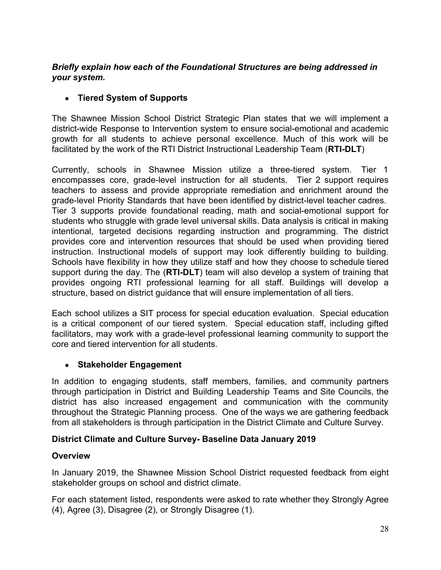# *Briefly explain how each of the Foundational Structures are being addressed in your system.*

# **● Tiered System of Supports**

The Shawnee Mission School District Strategic Plan states that we will implement a district-wide Response to Intervention system to ensure social-emotional and academic growth for all students to achieve personal excellence. Much of this work will be facilitated by the work of the RTI District Instructional Leadership Team (**RTI-DLT**)

Currently, schools in Shawnee Mission utilize a three-tiered system. Tier 1 encompasses core, grade-level instruction for all students. Tier 2 support requires teachers to assess and provide appropriate remediation and enrichment around the grade-level Priority Standards that have been identified by district-level teacher cadres. Tier 3 supports provide foundational reading, math and social-emotional support for students who struggle with grade level universal skills. Data analysis is critical in making intentional, targeted decisions regarding instruction and programming. The district provides core and intervention resources that should be used when providing tiered instruction. Instructional models of support may look differently building to building. Schools have flexibility in how they utilize staff and how they choose to schedule tiered support during the day. The (**RTI-DLT**) team will also develop a system of training that provides ongoing RTI professional learning for all staff. Buildings will develop a structure, based on district guidance that will ensure implementation of all tiers.

Each school utilizes a SIT process for special education evaluation. Special education is a critical component of our tiered system. Special education staff, including gifted facilitators, may work with a grade-level professional learning community to support the core and tiered intervention for all students.

# **● Stakeholder Engagement**

In addition to engaging students, staff members, families, and community partners through participation in District and Building Leadership Teams and Site Councils, the district has also increased engagement and communication with the community throughout the Strategic Planning process. One of the ways we are gathering feedback from all stakeholders is through participation in the District Climate and Culture Survey.

# **District Climate and Culture Survey- Baseline Data January 2019**

# **Overview**

In January 2019, the Shawnee Mission School District requested feedback from eight stakeholder groups on school and district climate.

For each statement listed, respondents were asked to rate whether they Strongly Agree (4), Agree (3), Disagree (2), or Strongly Disagree (1).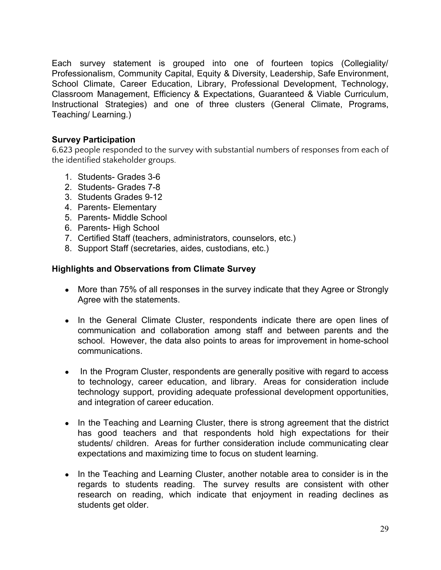Each survey statement is grouped into one of fourteen topics (Collegiality/ Professionalism, Community Capital, Equity & Diversity, Leadership, Safe Environment, School Climate, Career Education, Library, Professional Development, Technology, Classroom Management, Efficiency & Expectations, Guaranteed & Viable Curriculum, Instructional Strategies) and one of three clusters (General Climate, Programs, Teaching/ Learning.)

# **Survey Participation**

6,623 people responded to the survey with substantial numbers of responses from each of the identified stakeholder groups.

- 1. Students- Grades 3-6
- 2. Students- Grades 7-8
- 3. Students Grades 9-12
- 4. Parents- Elementary
- 5. Parents- Middle School
- 6. Parents- High School
- 7. Certified Staff (teachers, administrators, counselors, etc.)
- 8. Support Staff (secretaries, aides, custodians, etc.)

#### **Highlights and Observations from Climate Survey**

- More than 75% of all responses in the survey indicate that they Agree or Strongly Agree with the statements.
- In the General Climate Cluster, respondents indicate there are open lines of communication and collaboration among staff and between parents and the school. However, the data also points to areas for improvement in home-school communications.
- In the Program Cluster, respondents are generally positive with regard to access to technology, career education, and library. Areas for consideration include technology support, providing adequate professional development opportunities, and integration of career education.
- In the Teaching and Learning Cluster, there is strong agreement that the district has good teachers and that respondents hold high expectations for their students/ children. Areas for further consideration include communicating clear expectations and maximizing time to focus on student learning.
- In the Teaching and Learning Cluster, another notable area to consider is in the regards to students reading. The survey results are consistent with other research on reading, which indicate that enjoyment in reading declines as students get older.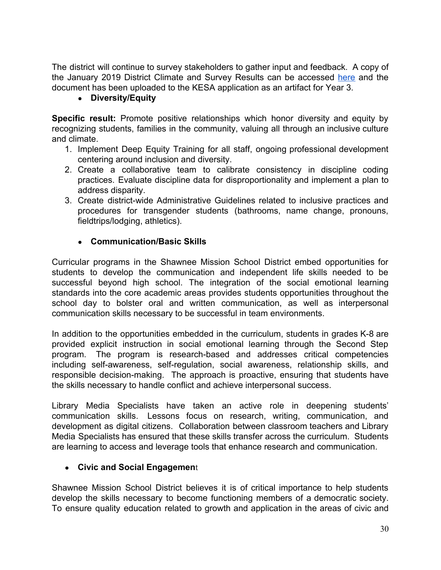The district will continue to survey stakeholders to gather input and feedback. A copy of the January 2019 District Climate and Survey Results can be accessed [here](https://www.smsd.org/about/strategic-plan-2019-2024/climate-survey-results) and the document has been uploaded to the KESA application as an artifact for Year 3.

# **● Diversity/Equity**

**Specific result:** Promote positive relationships which honor diversity and equity by recognizing students, families in the community, valuing all through an inclusive culture and climate.

- 1. Implement Deep Equity Training for all staff, ongoing professional development centering around inclusion and diversity.
- 2. Create a collaborative team to calibrate consistency in discipline coding practices. Evaluate discipline data for disproportionality and implement a plan to address disparity.
- 3. Create district-wide Administrative Guidelines related to inclusive practices and procedures for transgender students (bathrooms, name change, pronouns, fieldtrips/lodging, athletics).

# **● Communication/Basic Skills**

Curricular programs in the Shawnee Mission School District embed opportunities for students to develop the communication and independent life skills needed to be successful beyond high school. The integration of the social emotional learning standards into the core academic areas provides students opportunities throughout the school day to bolster oral and written communication, as well as interpersonal communication skills necessary to be successful in team environments.

In addition to the opportunities embedded in the curriculum, students in grades K-8 are provided explicit instruction in social emotional learning through the Second Step program. The program is research-based and addresses critical competencies including self-awareness, self-regulation, social awareness, relationship skills, and responsible decision-making. The approach is proactive, ensuring that students have the skills necessary to handle conflict and achieve interpersonal success.

Library Media Specialists have taken an active role in deepening students' communication skills. Lessons focus on research, writing, communication, and development as digital citizens. Collaboration between classroom teachers and Library Media Specialists has ensured that these skills transfer across the curriculum. Students are learning to access and leverage tools that enhance research and communication.

# ● **Civic and Social Engagemen**t

Shawnee Mission School District believes it is of critical importance to help students develop the skills necessary to become functioning members of a democratic society. To ensure quality education related to growth and application in the areas of civic and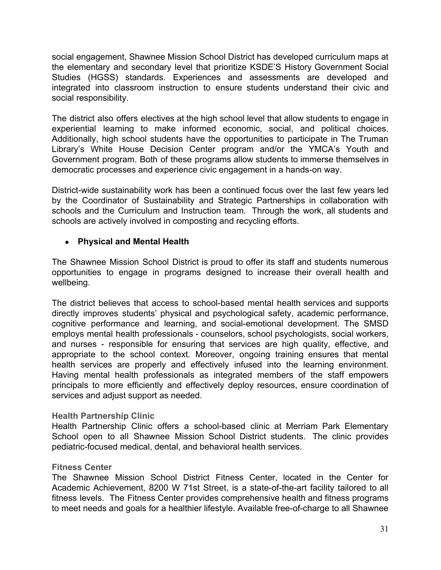social engagement, Shawnee Mission School District has developed curriculum maps at the elementary and secondary level that prioritize KSDE'S History Government Social Studies (HGSS) standards. Experiences and assessments are developed and integrated into classroom instruction to ensure students understand their civic and social responsibility.

The district also offers electives at the high school level that allow students to engage in experiential learning to make informed economic, social, and political choices. Additionally, high school students have the opportunities to participate in The Truman Library's White House Decision Center program and/or the YMCA's Youth and Government program. Both of these programs allow students to immerse themselves in democratic processes and experience civic engagement in a hands-on way.

District-wide sustainability work has been a continued focus over the last few years led by the Coordinator of Sustainability and Strategic Partnerships in collaboration with schools and the Curriculum and Instruction team. Through the work, all students and schools are actively involved in composting and recycling efforts.

# **● Physical and Mental Health**

The Shawnee Mission School District is proud to offer its staff and students numerous opportunities to engage in programs designed to increase their overall health and wellbeing.

The district believes that access to school-based mental health services and supports directly improves students' physical and psychological safety, academic performance, cognitive performance and learning, and social-emotional development. The SMSD employs mental health professionals - counselors, school psychologists, social workers, and nurses - responsible for ensuring that services are high quality, effective, and appropriate to the school context. Moreover, ongoing training ensures that mental health services are properly and effectively infused into the learning environment. Having mental health professionals as integrated members of the staff empowers principals to more efficiently and effectively deploy resources, ensure coordination of services and adjust support as needed.

# **Health Partnership Clinic**

Health Partnership Clinic offers a school-based clinic at Merriam Park Elementary School open to all Shawnee Mission School District students. The clinic provides pediatric-focused medical, dental, and behavioral health services.

# **Fitness Center**

The Shawnee Mission School District Fitness Center, located in the Center for Academic Achievement, 8200 W 71st Street, is a state-of-the-art facility tailored to all fitness levels. The Fitness Center provides comprehensive health and fitness programs to meet needs and goals for a healthier lifestyle. Available free-of-charge to all Shawnee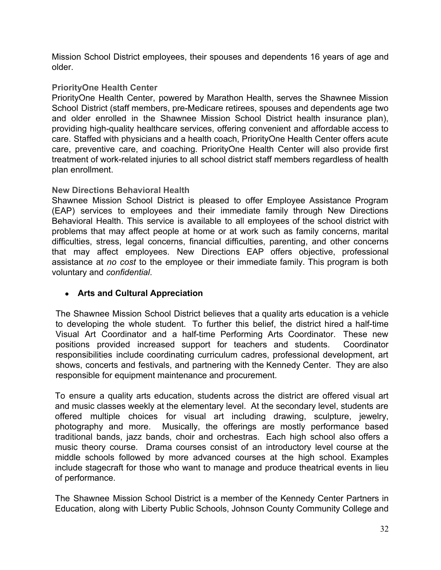Mission School District employees, their spouses and dependents 16 years of age and older.

# **PriorityOne Health Center**

PriorityOne Health Center, powered by Marathon Health, serves the Shawnee Mission School District (staff members, pre-Medicare retirees, spouses and dependents age two and older enrolled in the Shawnee Mission School District health insurance plan), providing high-quality healthcare services, offering convenient and affordable access to care. Staffed with physicians and a health coach, PriorityOne Health Center offers acute care, preventive care, and coaching. PriorityOne Health Center will also provide first treatment of work-related injuries to all school district staff members regardless of health plan enrollment.

# **New Directions Behavioral Health**

Shawnee Mission School District is pleased to offer Employee Assistance Program (EAP) services to employees and their immediate family through New Directions Behavioral Health. This service is available to all employees of the school district with problems that may affect people at home or at work such as family concerns, marital difficulties, stress, legal concerns, financial difficulties, parenting, and other concerns that may affect employees. New Directions EAP offers objective, professional assistance at *no cost* to the employee or their immediate family. This program is both voluntary and *confidential*.

# **● Arts and Cultural Appreciation**

The Shawnee Mission School District believes that a quality arts education is a vehicle to developing the whole student. To further this belief, the district hired a half-time Visual Art Coordinator and a half-time Performing Arts Coordinator. These new positions provided increased support for teachers and students. Coordinator responsibilities include coordinating curriculum cadres, professional development, art shows, concerts and festivals, and partnering with the Kennedy Center. They are also responsible for equipment maintenance and procurement.

To ensure a quality arts education, students across the district are offered visual art and music classes weekly at the elementary level. At the secondary level, students are offered multiple choices for visual art including drawing, sculpture, jewelry, photography and more. Musically, the offerings are mostly performance based traditional bands, jazz bands, choir and orchestras. Each high school also offers a music theory course. Drama courses consist of an introductory level course at the middle schools followed by more advanced courses at the high school. Examples include stagecraft for those who want to manage and produce theatrical events in lieu of performance.

The Shawnee Mission School District is a member of the Kennedy Center Partners in Education, along with Liberty Public Schools, Johnson County Community College and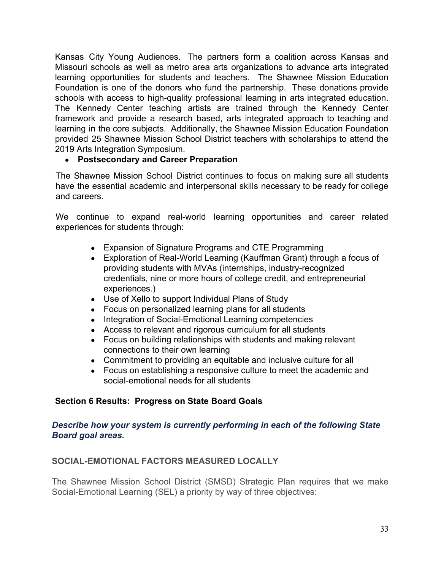Kansas City Young Audiences. The partners form a coalition across Kansas and Missouri schools as well as metro area arts organizations to advance arts integrated learning opportunities for students and teachers. The Shawnee Mission Education Foundation is one of the donors who fund the partnership. These donations provide schools with access to high-quality professional learning in arts integrated education. The Kennedy Center teaching artists are trained through the Kennedy Center framework and provide a research based, arts integrated approach to teaching and learning in the core subjects. Additionally, the Shawnee Mission Education Foundation provided 25 Shawnee Mission School District teachers with scholarships to attend the 2019 Arts Integration Symposium.

# **● Postsecondary and Career Preparation**

The Shawnee Mission School District continues to focus on making sure all students have the essential academic and interpersonal skills necessary to be ready for college and careers.

We continue to expand real-world learning opportunities and career related experiences for students through:

- Expansion of Signature Programs and CTE Programming
- Exploration of Real-World Learning (Kauffman Grant) through a focus of providing students with MVAs (internships, industry-recognized credentials, nine or more hours of college credit, and entrepreneurial experiences.)
- Use of Xello to support Individual Plans of Study
- Focus on personalized learning plans for all students
- Integration of Social-Emotional Learning competencies
- Access to relevant and rigorous curriculum for all students
- Focus on building relationships with students and making relevant connections to their own learning
- Commitment to providing an equitable and inclusive culture for all
- Focus on establishing a responsive culture to meet the academic and social-emotional needs for all students

# **Section 6 Results: Progress on State Board Goals**

## *Describe how your system is currently performing in each of the following State Board goal areas.*

# **SOCIAL-EMOTIONAL FACTORS MEASURED LOCALLY**

The Shawnee Mission School District (SMSD) Strategic Plan requires that we make Social-Emotional Learning (SEL) a priority by way of three objectives: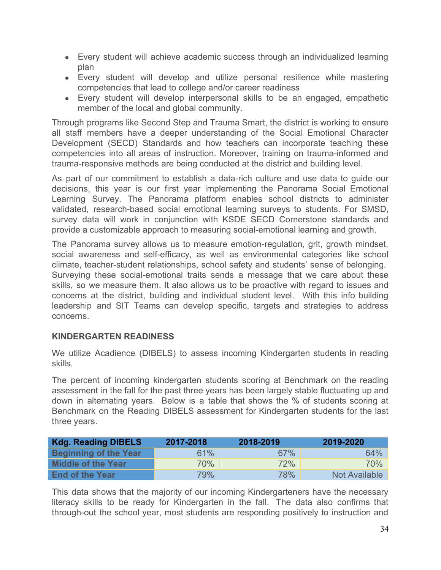- Every student will achieve academic success through an individualized learning plan
- Every student will develop and utilize personal resilience while mastering competencies that lead to college and/or career readiness
- Every student will develop interpersonal skills to be an engaged, empathetic member of the local and global community.

Through programs like Second Step and Trauma Smart, the district is working to ensure all staff members have a deeper understanding of the Social Emotional Character Development (SECD) Standards and how teachers can incorporate teaching these competencies into all areas of instruction. Moreover, training on trauma-informed and trauma-responsive methods are being conducted at the district and building level.

As part of our commitment to establish a data-rich culture and use data to guide our decisions, this year is our first year implementing the Panorama Social Emotional Learning Survey. The Panorama platform enables school districts to administer validated, research-based social emotional learning surveys to students. For SMSD, survey data will work in conjunction with KSDE SECD Cornerstone standards and provide a customizable approach to measuring social-emotional learning and growth.

The Panorama survey allows us to measure emotion-regulation, grit, growth mindset, social awareness and self-efficacy, as well as environmental categories like school climate, teacher-student relationships, school safety and students' sense of belonging. Surveying these social-emotional traits sends a message that we care about these skills, so we measure them. It also allows us to be proactive with regard to issues and concerns at the district, building and individual student level. With this info building leadership and SIT Teams can develop specific, targets and strategies to address concerns.

# **KINDERGARTEN READINESS**

We utilize Acadience (DIBELS) to assess incoming Kindergarten students in reading skills.

The percent of incoming kindergarten students scoring at Benchmark on the reading assessment in the fall for the past three years has been largely stable fluctuating up and down in alternating years. Below is a table that shows the % of students scoring at Benchmark on the Reading DIBELS assessment for Kindergarten students for the last three years.

| <b>Kdg. Reading DIBELS</b> | 2017-2018 | 2018-2019  | 2019-2020     |
|----------------------------|-----------|------------|---------------|
| Beginning of the Year      | 61%       | 67%        | 64%           |
| Middle of the Year         | 70%       | 72%        | 70%           |
| <b>End of the Year</b>     | 79%       | <b>78%</b> | Not Available |

This data shows that the majority of our incoming Kindergarteners have the necessary literacy skills to be ready for Kindergarten in the fall. The data also confirms that through-out the school year, most students are responding positively to instruction and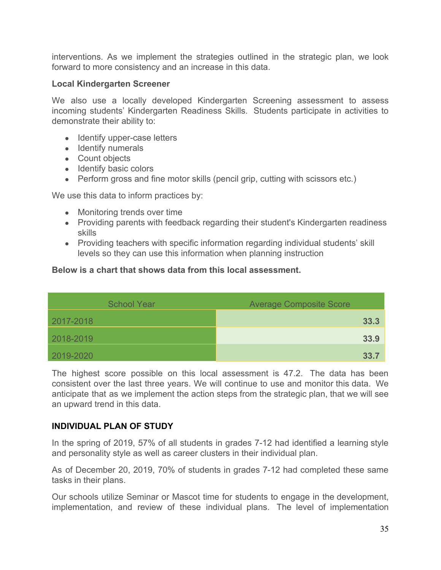interventions. As we implement the strategies outlined in the strategic plan, we look forward to more consistency and an increase in this data.

#### **Local Kindergarten Screener**

We also use a locally developed Kindergarten Screening assessment to assess incoming students' Kindergarten Readiness Skills. Students participate in activities to demonstrate their ability to:

- Identify upper-case letters
- Identify numerals
- Count objects
- Identify basic colors
- Perform gross and fine motor skills (pencil grip, cutting with scissors etc.)

We use this data to inform practices by:

- Monitoring trends over time
- Providing parents with feedback regarding their student's Kindergarten readiness skills
- Providing teachers with specific information regarding individual students' skill levels so they can use this information when planning instruction

## **Below is a chart that shows data from this local assessment.**

| <b>School Year</b> | <b>Average Composite Score</b> |  |  |  |
|--------------------|--------------------------------|--|--|--|
| 2017-2018          | 33.3                           |  |  |  |
| 2018-2019          | 33.9                           |  |  |  |
| 2019-2020          | 33.7                           |  |  |  |

The highest score possible on this local assessment is 47.2. The data has been consistent over the last three years. We will continue to use and monitor this data. We anticipate that as we implement the action steps from the strategic plan, that we will see an upward trend in this data.

#### **INDIVIDUAL PLAN OF STUDY**

In the spring of 2019, 57% of all students in grades 7-12 had identified a learning style and personality style as well as career clusters in their individual plan.

As of December 20, 2019, 70% of students in grades 7-12 had completed these same tasks in their plans.

Our schools utilize Seminar or Mascot time for students to engage in the development, implementation, and review of these individual plans. The level of implementation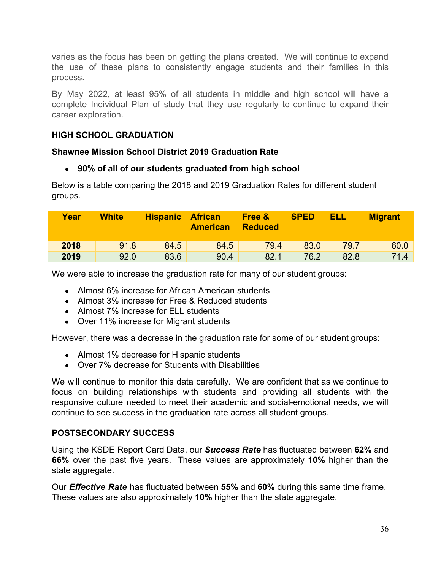varies as the focus has been on getting the plans created. We will continue to expand the use of these plans to consistently engage students and their families in this process.

By May 2022, at least 95% of all students in middle and high school will have a complete Individual Plan of study that they use regularly to continue to expand their career exploration.

# **HIGH SCHOOL GRADUATION**

# **Shawnee Mission School District 2019 Graduation Rate**

# **● 90% of all of our students graduated from high school**

Below is a table comparing the 2018 and 2019 Graduation Rates for different student groups.

| Year | <b>White</b> | <b>Hispanic</b> | <b>African</b><br><b>American</b> | Free &<br><b>Reduced</b> | <b>SPED</b> | ELL  | <b>Migrant</b> |
|------|--------------|-----------------|-----------------------------------|--------------------------|-------------|------|----------------|
| 2018 | 91.8         | 84.5            | 84.5                              | 79.4                     | 83.0        | 79.7 | 60.0           |
| 2019 | 92.0         | 83.6            | 90.4                              | 82.1                     | 76.2        | 82.8 | 71.4           |

We were able to increase the graduation rate for many of our student groups:

- Almost 6% increase for African American students
- Almost 3% increase for Free & Reduced students
- Almost 7% increase for ELL students
- Over 11% increase for Migrant students

However, there was a decrease in the graduation rate for some of our student groups:

- Almost 1% decrease for Hispanic students
- Over 7% decrease for Students with Disabilities

We will continue to monitor this data carefully. We are confident that as we continue to focus on building relationships with students and providing all students with the responsive culture needed to meet their academic and social-emotional needs, we will continue to see success in the graduation rate across all student groups.

# **POSTSECONDARY SUCCESS**

Using the KSDE Report Card Data, our *Success Rate* has fluctuated between **62%** and **66%** over the past five years. These values are approximately **10%** higher than the state aggregate.

Our *Effective Rate* has fluctuated between **55%** and **60%** during this same time frame. These values are also approximately **10%** higher than the state aggregate.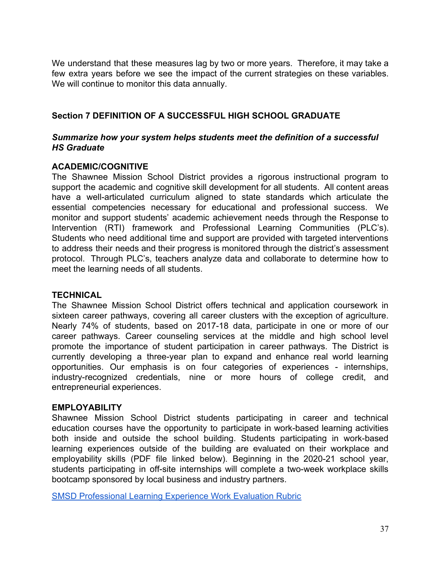We understand that these measures lag by two or more years. Therefore, it may take a few extra years before we see the impact of the current strategies on these variables. We will continue to monitor this data annually.

# **Section 7 DEFINITION OF A SUCCESSFUL HIGH SCHOOL GRADUATE**

## *Summarize how your system helps students meet the definition of a successful HS Graduate*

## **ACADEMIC/COGNITIVE**

The Shawnee Mission School District provides a rigorous instructional program to support the academic and cognitive skill development for all students. All content areas have a well-articulated curriculum aligned to state standards which articulate the essential competencies necessary for educational and professional success. We monitor and support students' academic achievement needs through the Response to Intervention (RTI) framework and Professional Learning Communities (PLC's). Students who need additional time and support are provided with targeted interventions to address their needs and their progress is monitored through the district's assessment protocol. Through PLC's, teachers analyze data and collaborate to determine how to meet the learning needs of all students.

#### **TECHNICAL**

The Shawnee Mission School District offers technical and application coursework in sixteen career pathways, covering all career clusters with the exception of agriculture. Nearly 74% of students, based on 2017-18 data, participate in one or more of our career pathways. Career counseling services at the middle and high school level promote the importance of student participation in career pathways. The District is currently developing a three-year plan to expand and enhance real world learning opportunities. Our emphasis is on four categories of experiences - internships, industry-recognized credentials, nine or more hours of college credit, and entrepreneurial experiences.

#### **EMPLOYABILITY**

Shawnee Mission School District students participating in career and technical education courses have the opportunity to participate in work-based learning activities both inside and outside the school building. Students participating in work-based learning experiences outside of the building are evaluated on their workplace and employability skills (PDF file linked below). Beginning in the 2020-21 school year, students participating in off-site internships will complete a two-week workplace skills bootcamp sponsored by local business and industry partners.

[SMSD Professional Learning Experience Work Evaluation Rubric](https://drive.google.com/file/d/13l07m-3BxXp64YGFOb0Pz_dQvrb4YLsy/view?usp=sharing)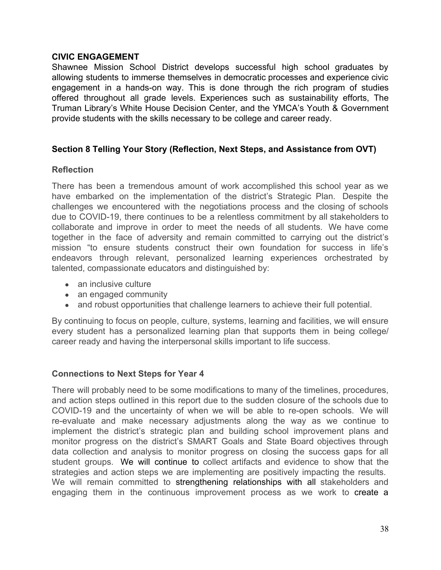#### **CIVIC ENGAGEMENT**

Shawnee Mission School District develops successful high school graduates by allowing students to immerse themselves in democratic processes and experience civic engagement in a hands-on way. This is done through the rich program of studies offered throughout all grade levels. Experiences such as sustainability efforts, The Truman Library's White House Decision Center, and the YMCA's Youth & Government provide students with the skills necessary to be college and career ready.

# **Section 8 Telling Your Story (Reflection, Next Steps, and Assistance from OVT)**

# **Reflection**

There has been a tremendous amount of work accomplished this school year as we have embarked on the implementation of the district's Strategic Plan. Despite the challenges we encountered with the negotiations process and the closing of schools due to COVID-19, there continues to be a relentless commitment by all stakeholders to collaborate and improve in order to meet the needs of all students. We have come together in the face of adversity and remain committed to carrying out the district's mission "to ensure students construct their own foundation for success in life's endeavors through relevant, personalized learning experiences orchestrated by talented, compassionate educators and distinguished by:

- an inclusive culture
- an engaged community
- and robust opportunities that challenge learners to achieve their full potential.

By continuing to focus on people, culture, systems, learning and facilities, we will ensure every student has a personalized learning plan that supports them in being college/ career ready and having the interpersonal skills important to life success.

# **Connections to Next Steps for Year 4**

There will probably need to be some modifications to many of the timelines, procedures, and action steps outlined in this report due to the sudden closure of the schools due to COVID-19 and the uncertainty of when we will be able to re-open schools. We will re-evaluate and make necessary adjustments along the way as we continue to implement the district's strategic plan and building school improvement plans and monitor progress on the district's SMART Goals and State Board objectives through data collection and analysis to monitor progress on closing the success gaps for all student groups. We will continue to collect artifacts and evidence to show that the strategies and action steps we are implementing are positively impacting the results. We will remain committed to strengthening relationships with all stakeholders and engaging them in the continuous improvement process as we work to create a